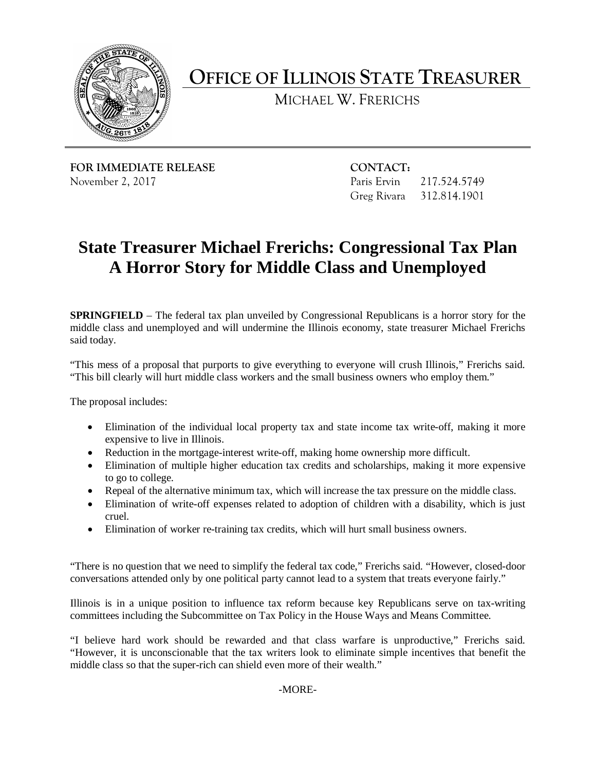

**OFFICE OF ILLINOIS STATE TREASURER** 

MICHAEL W. FRERICHS

**FOR IMMEDIATE RELEASE CONTACT:** November 2, 2017 Paris Ervin 217.524.5749

Greg Rivara 312.814.1901

## **State Treasurer Michael Frerichs: Congressional Tax Plan A Horror Story for Middle Class and Unemployed**

 **SPRINGFIELD** – The federal tax plan unveiled by Congressional Republicans is a horror story for the middle class and unemployed and will undermine the Illinois economy, state treasurer Michael Frerichs said today.

 "This mess of a proposal that purports to give everything to everyone will crush Illinois," Frerichs said. "This bill clearly will hurt middle class workers and the small business owners who employ them."

The proposal includes:

- • Elimination of the individual local property tax and state income tax write-off, making it more expensive to live in Illinois.
- Reduction in the mortgage-interest write-off, making home ownership more difficult.
- • Elimination of multiple higher education tax credits and scholarships, making it more expensive to go to college.
- Repeal of the alternative minimum tax, which will increase the tax pressure on the middle class.
- Elimination of write-off expenses related to adoption of children with a disability, which is just cruel.
- Elimination of worker re-training tax credits, which will hurt small business owners.

"There is no question that we need to simplify the federal tax code," Frerichs said. "However, closed-door conversations attended only by one political party cannot lead to a system that treats everyone fairly."

 Illinois is in a unique position to influence tax reform because key Republicans serve on tax-writing committees including the Subcommittee on Tax Policy in the House Ways and Means Committee.

 "However, it is unconscionable that the tax writers look to eliminate simple incentives that benefit the "I believe hard work should be rewarded and that class warfare is unproductive," Frerichs said. middle class so that the super-rich can shield even more of their wealth."

-MORE-